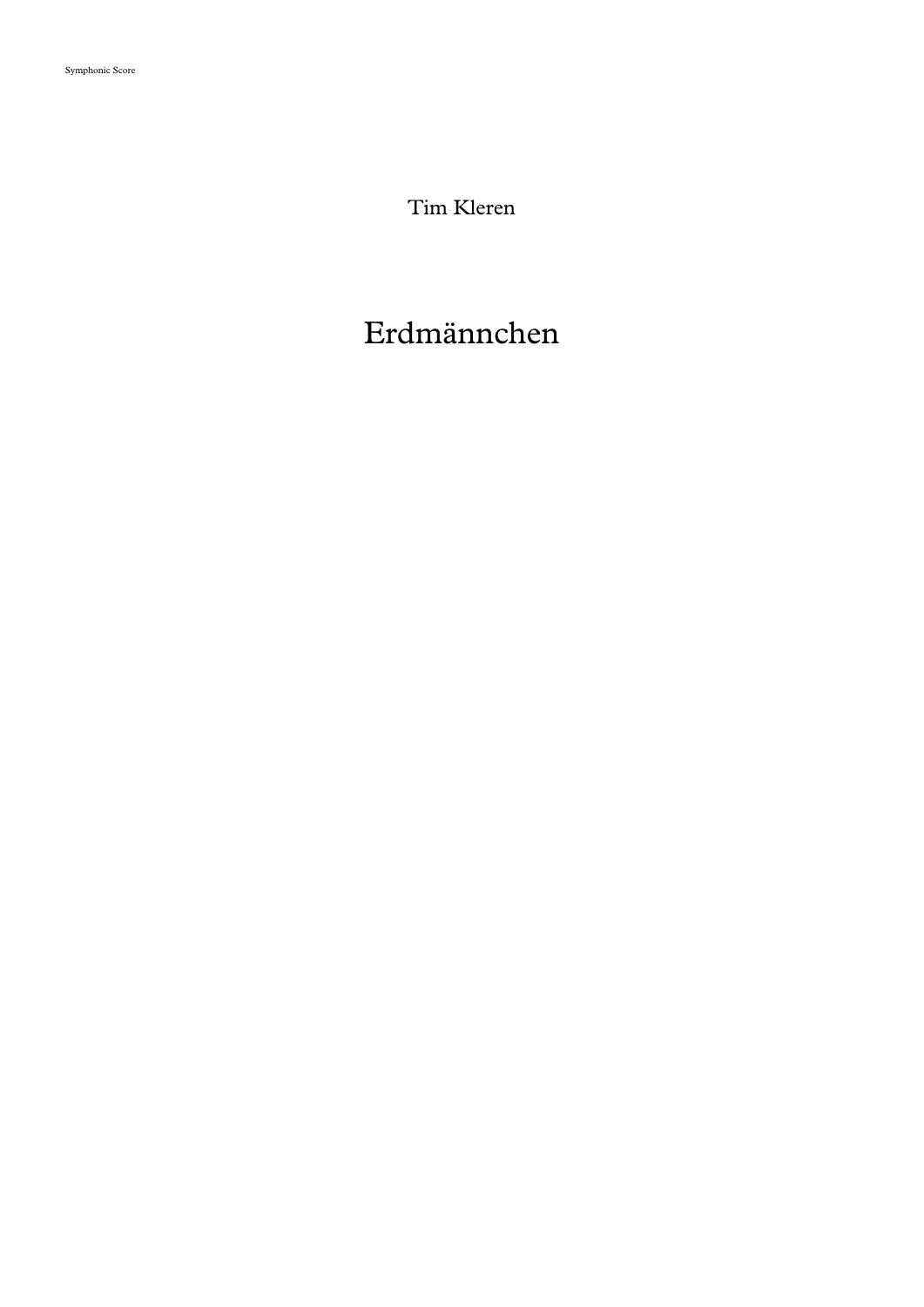# Erdmännchen

Tim Kleren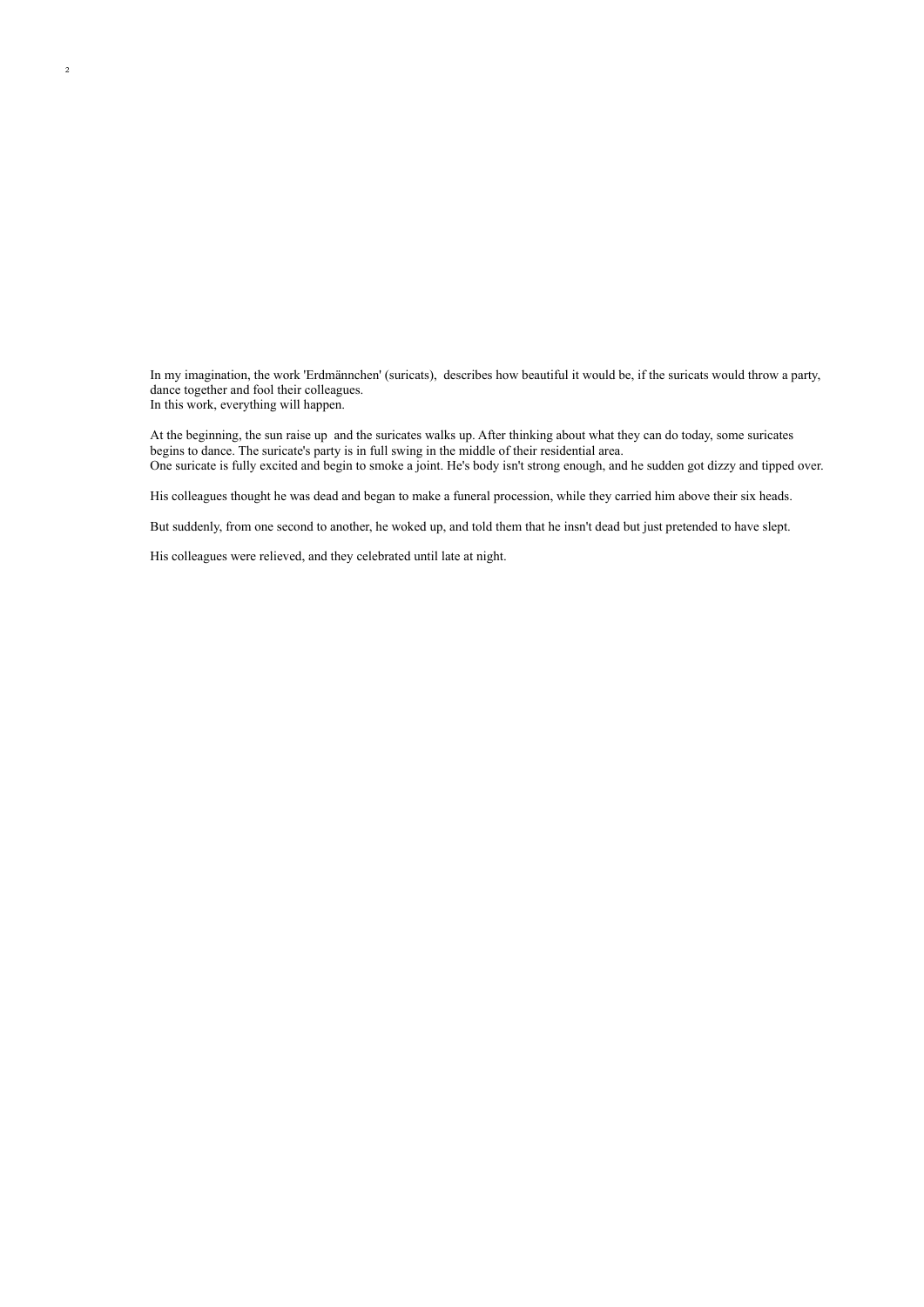At the beginning, the sun raise up and the suricates walks up. After thinking about what they can do today, some suricates begins to dance. The suricate's party is in full swing in the middle of their residential area.

In my imagination, the work 'Erdmännchen' (suricats), describes how beautiful it would be, if the suricats would throw a party, dance together and fool their colleagues. In this work, everything will happen.

One suricate is fully excited and begin to smoke a joint. He's body isn't strong enough, and he sudden got dizzy and tipped over.

His colleagues thought he was dead and began to make a funeral procession, while they carried him above their six heads.

But suddenly, from one second to another, he woked up, and told them that he insn't dead but just pretended to have slept.

His colleagues were relieved, and they celebrated until late at night.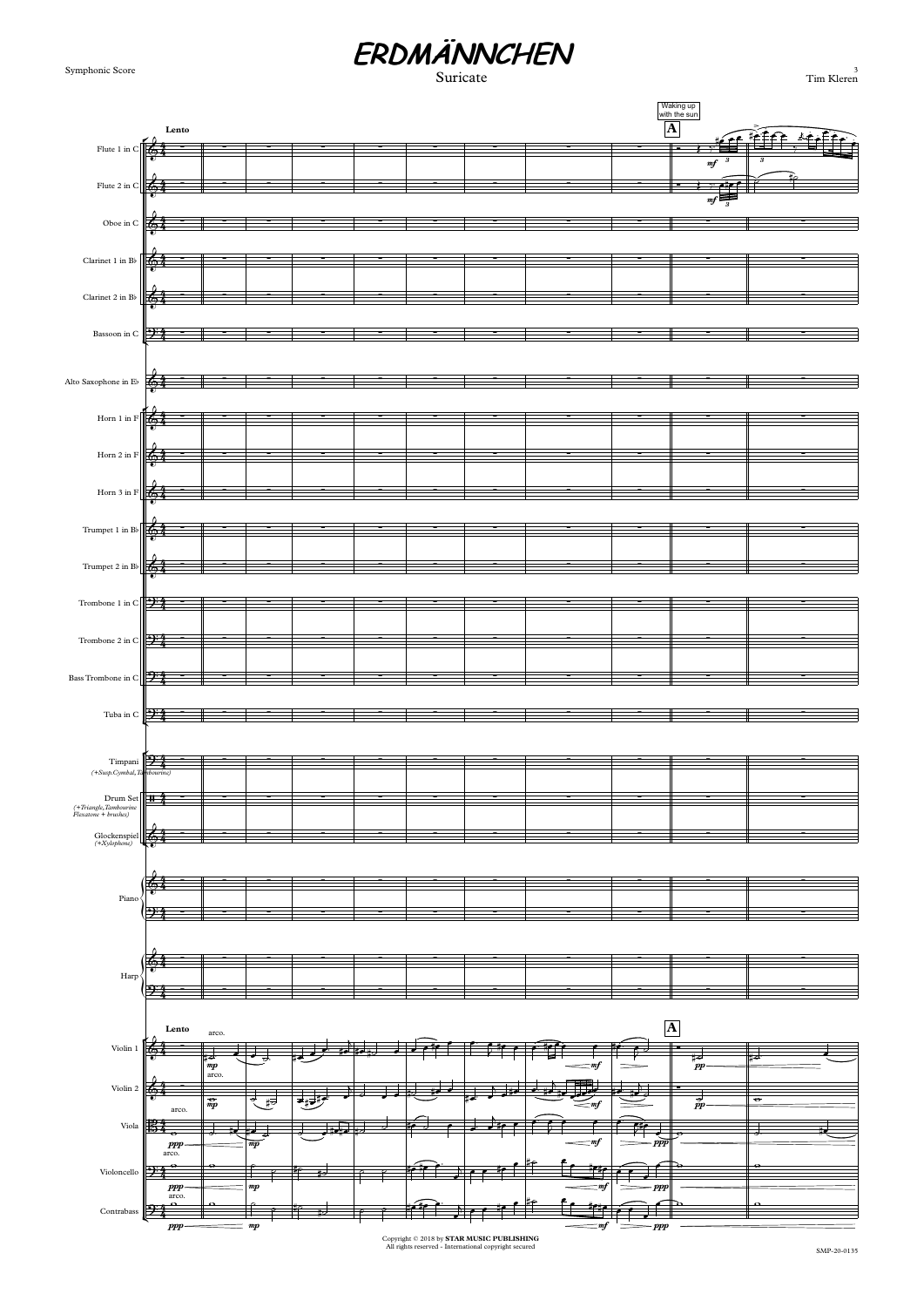SMP-20-0135







3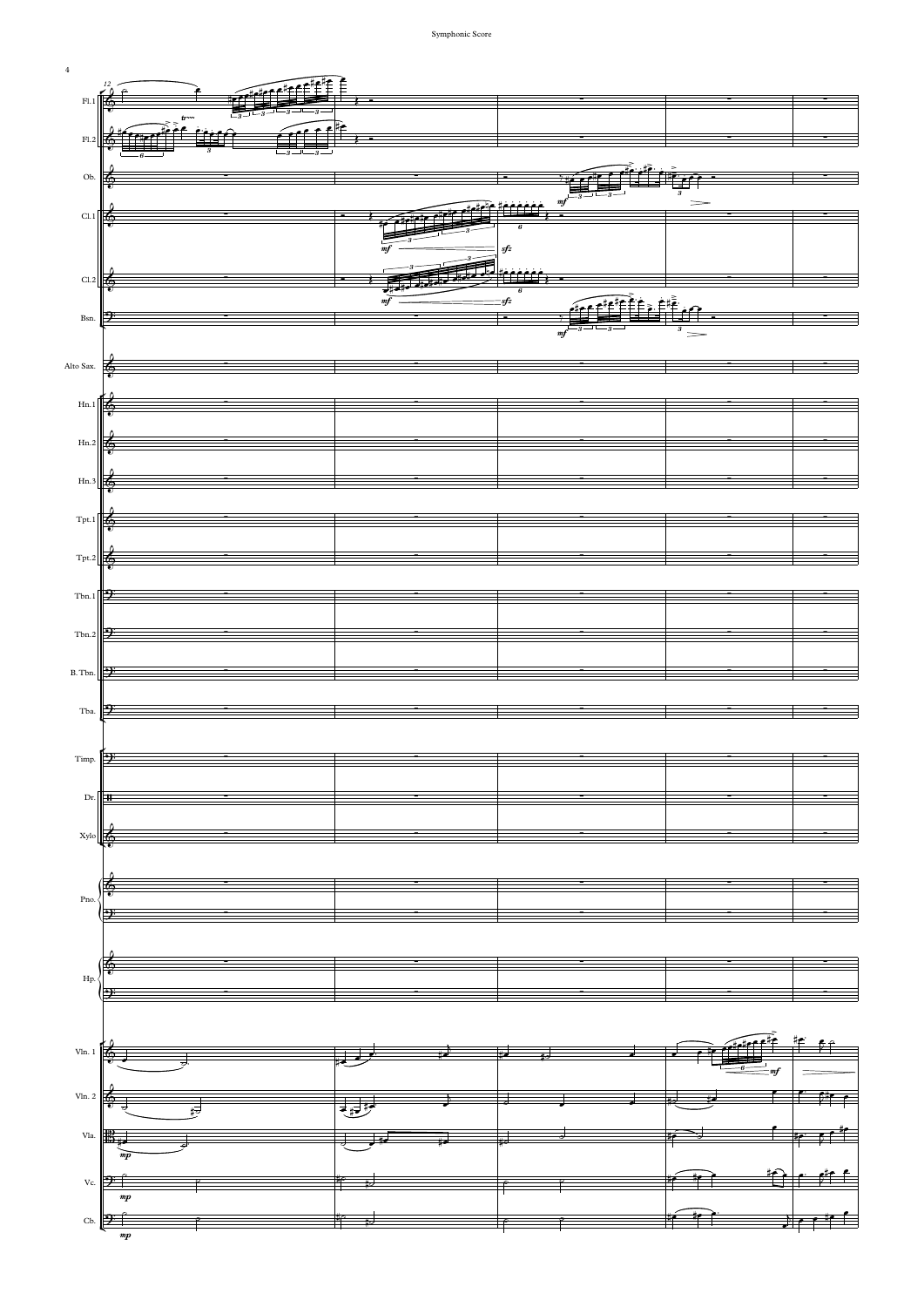

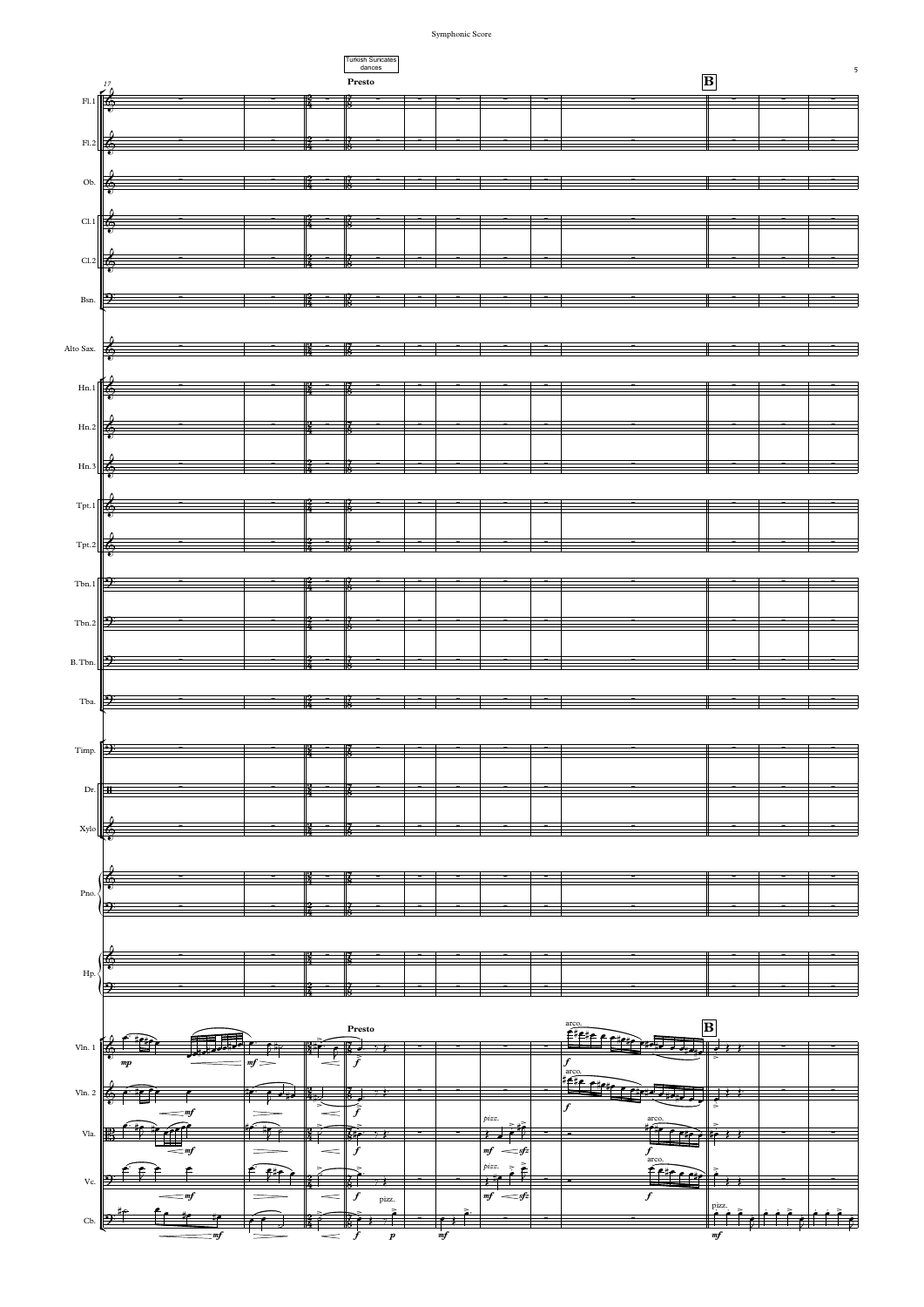

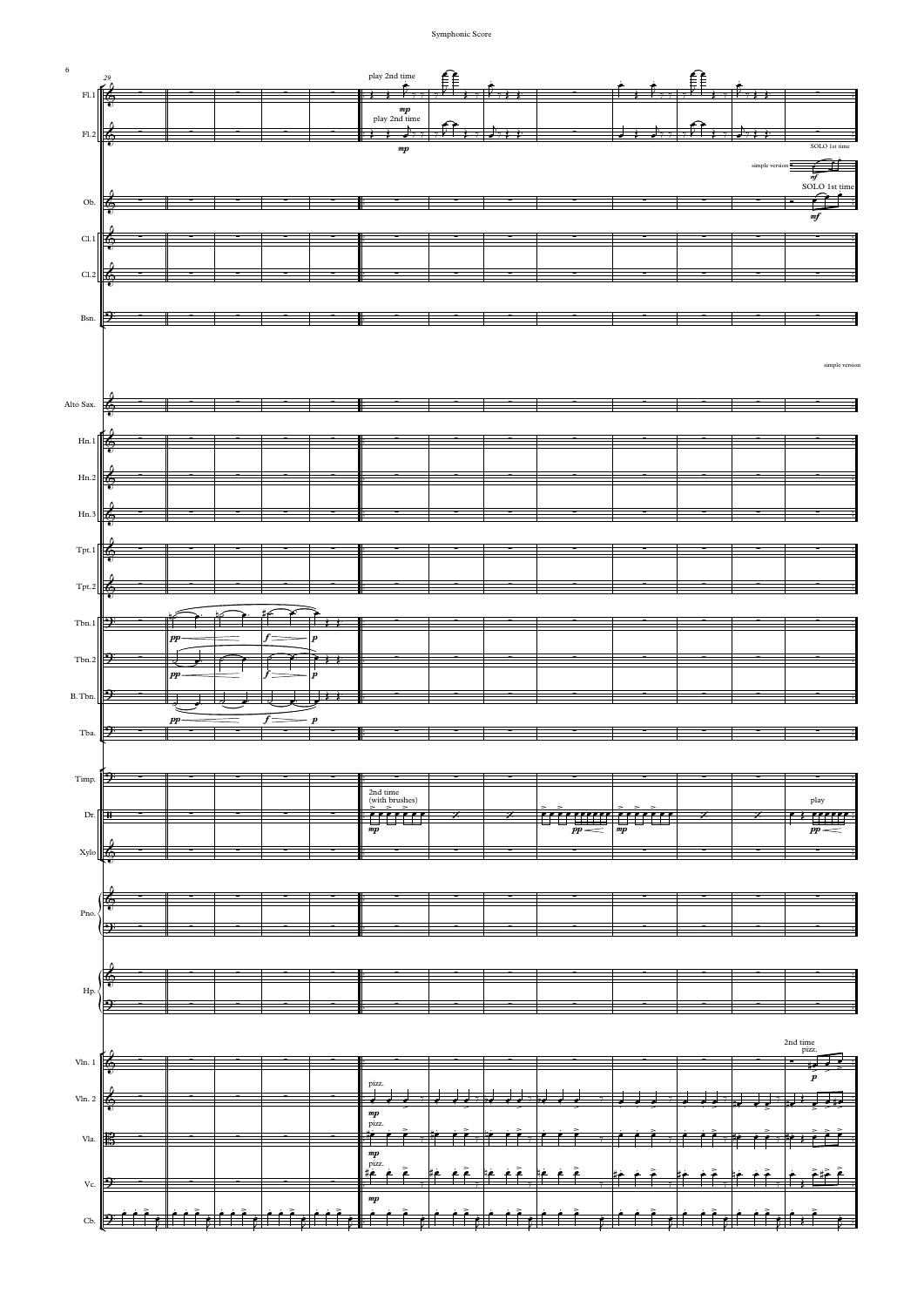

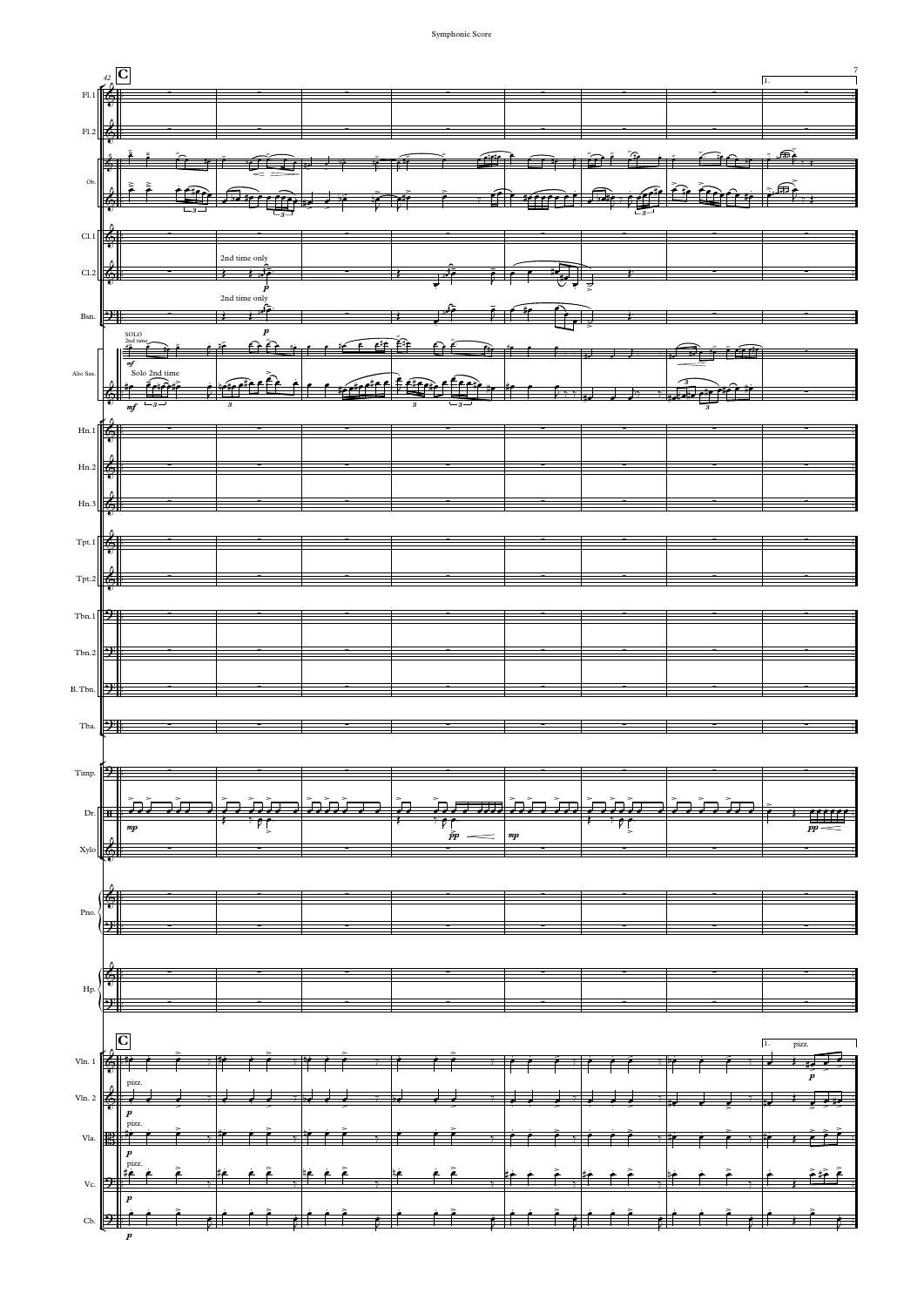

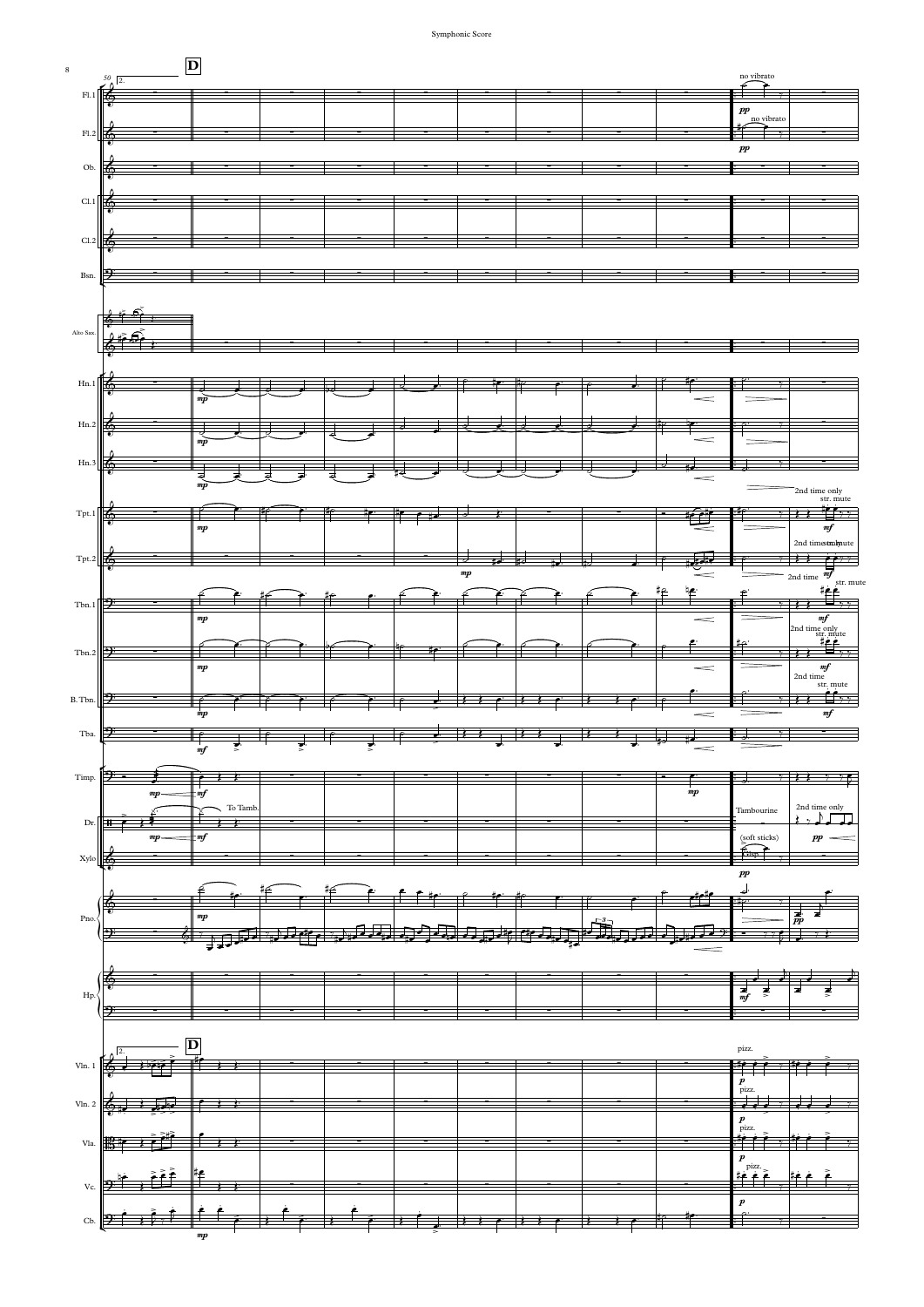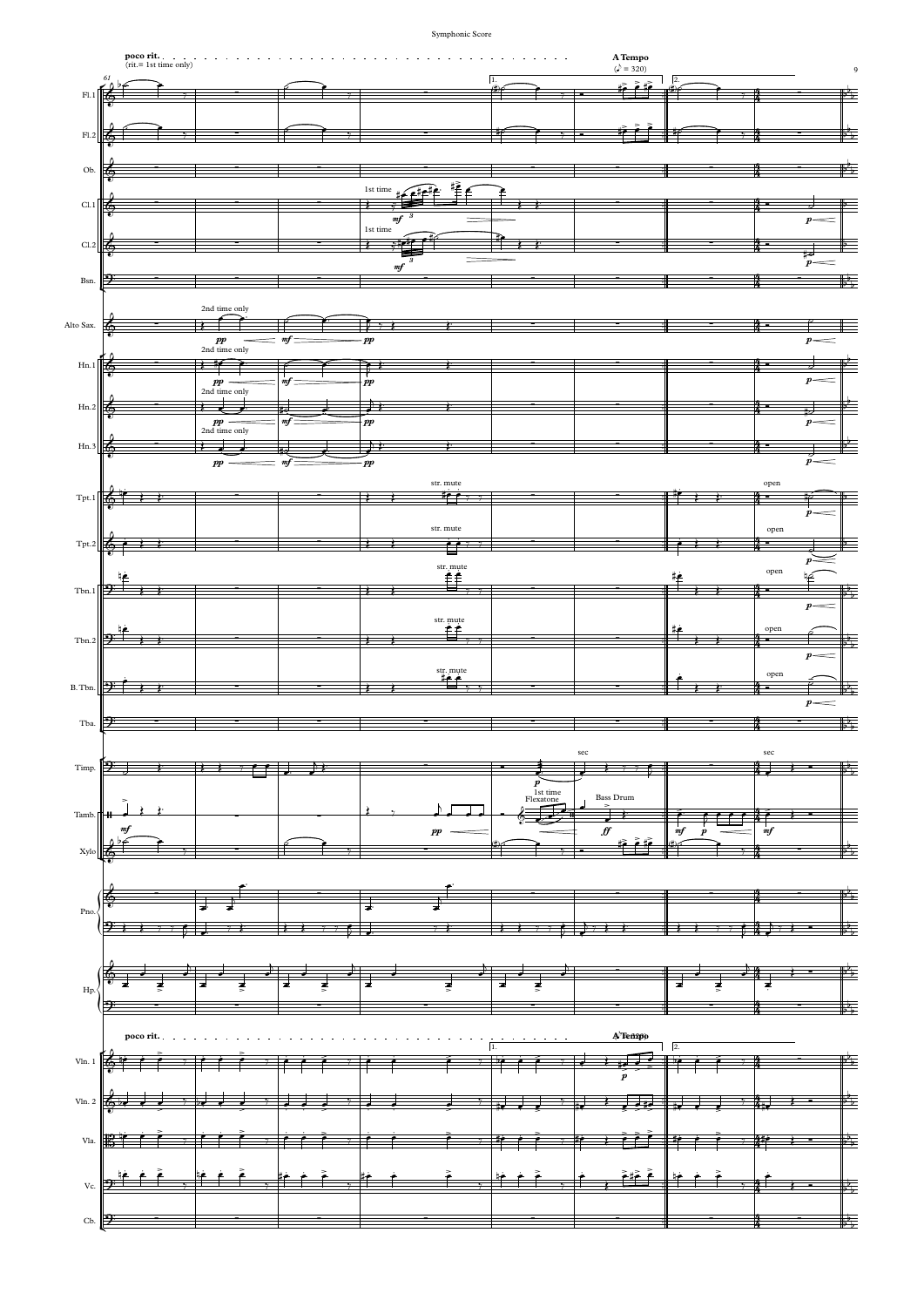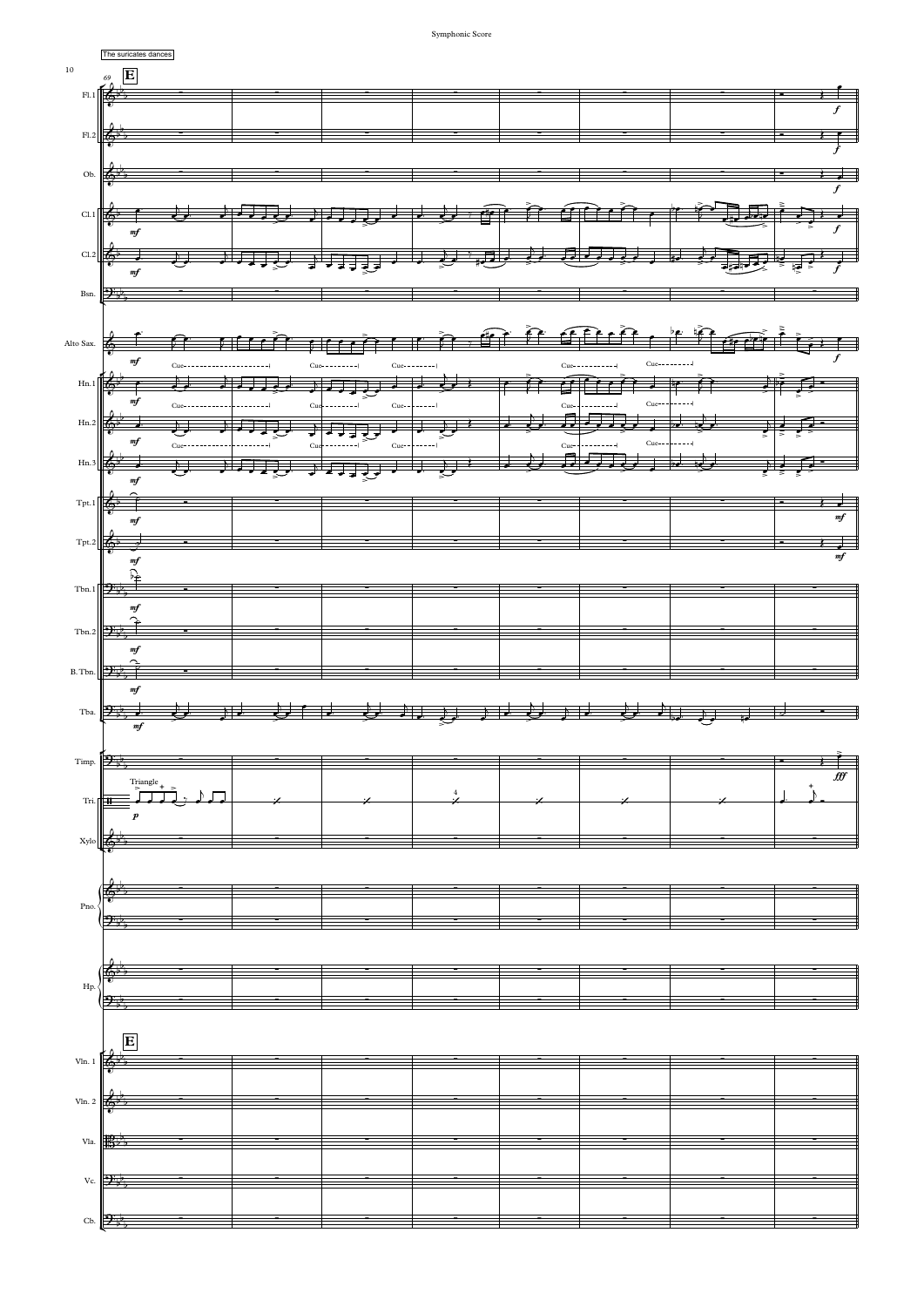

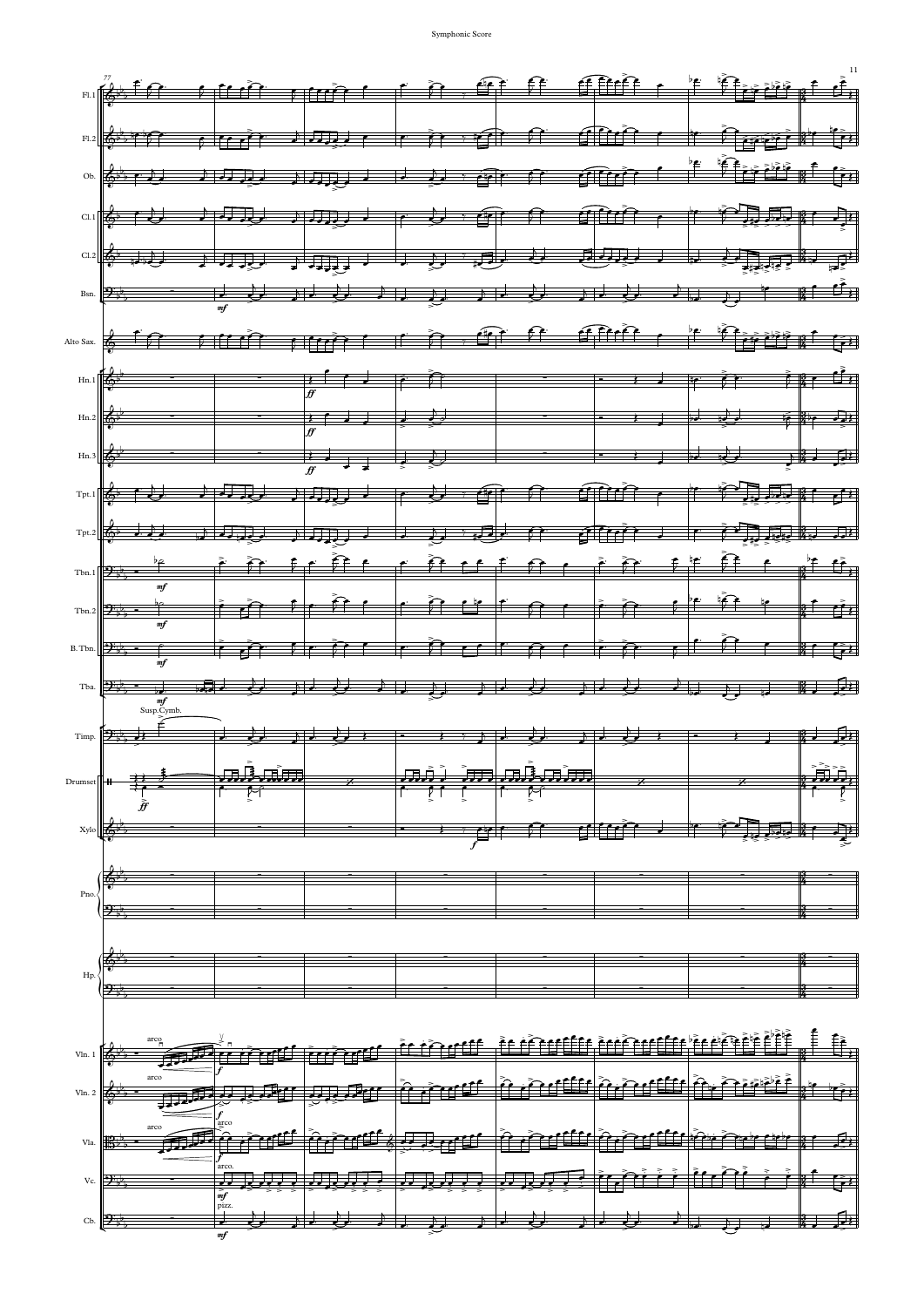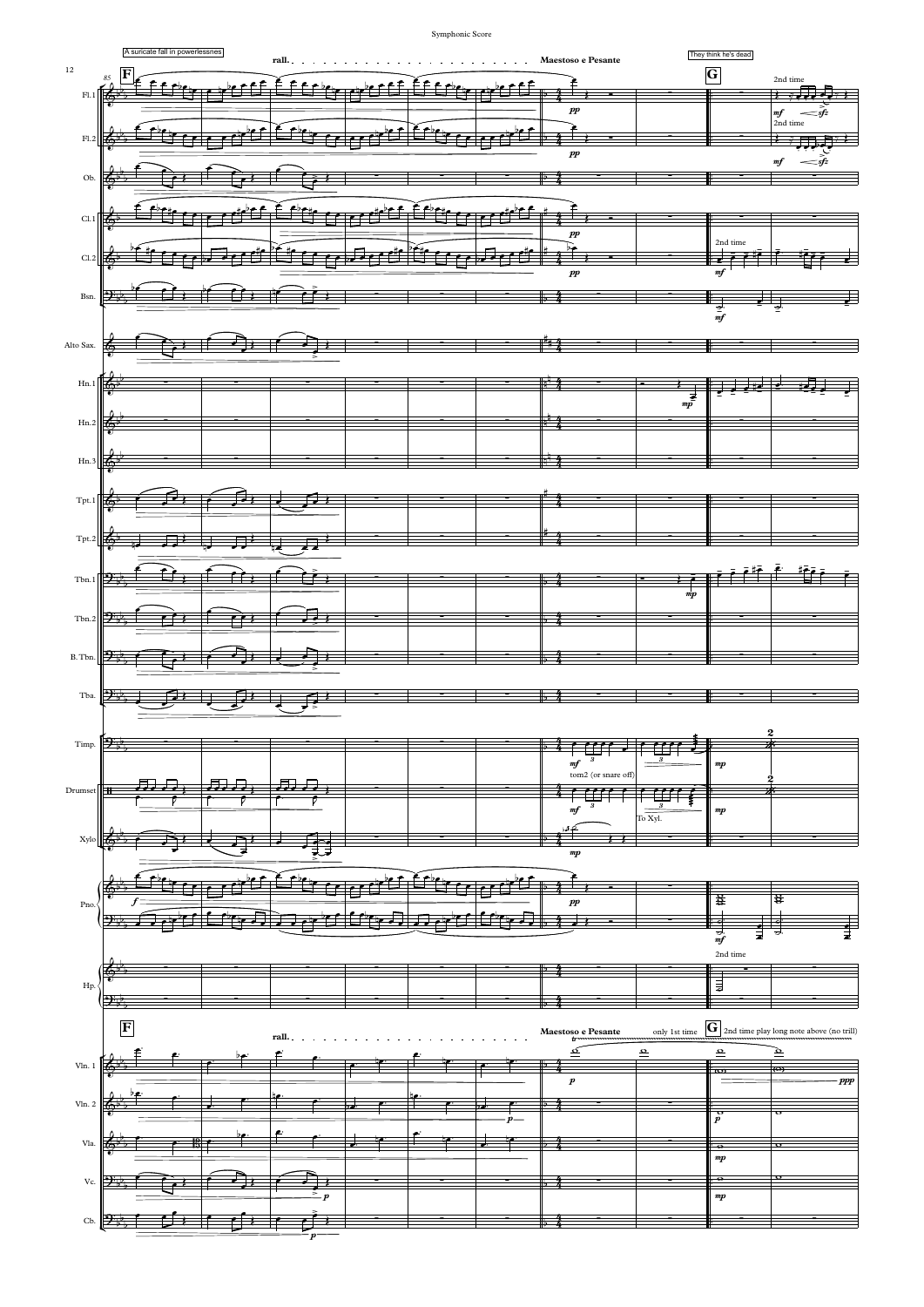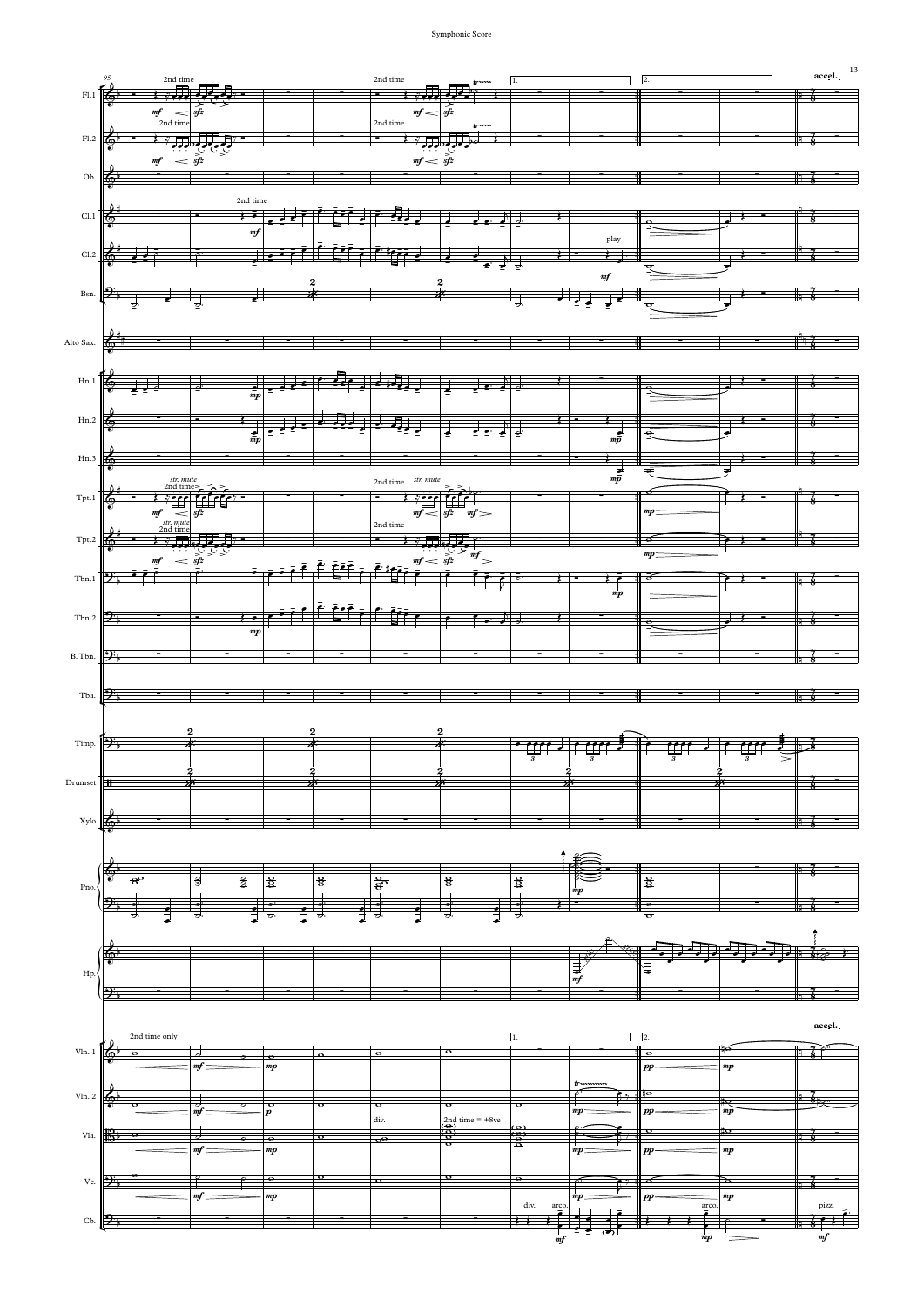

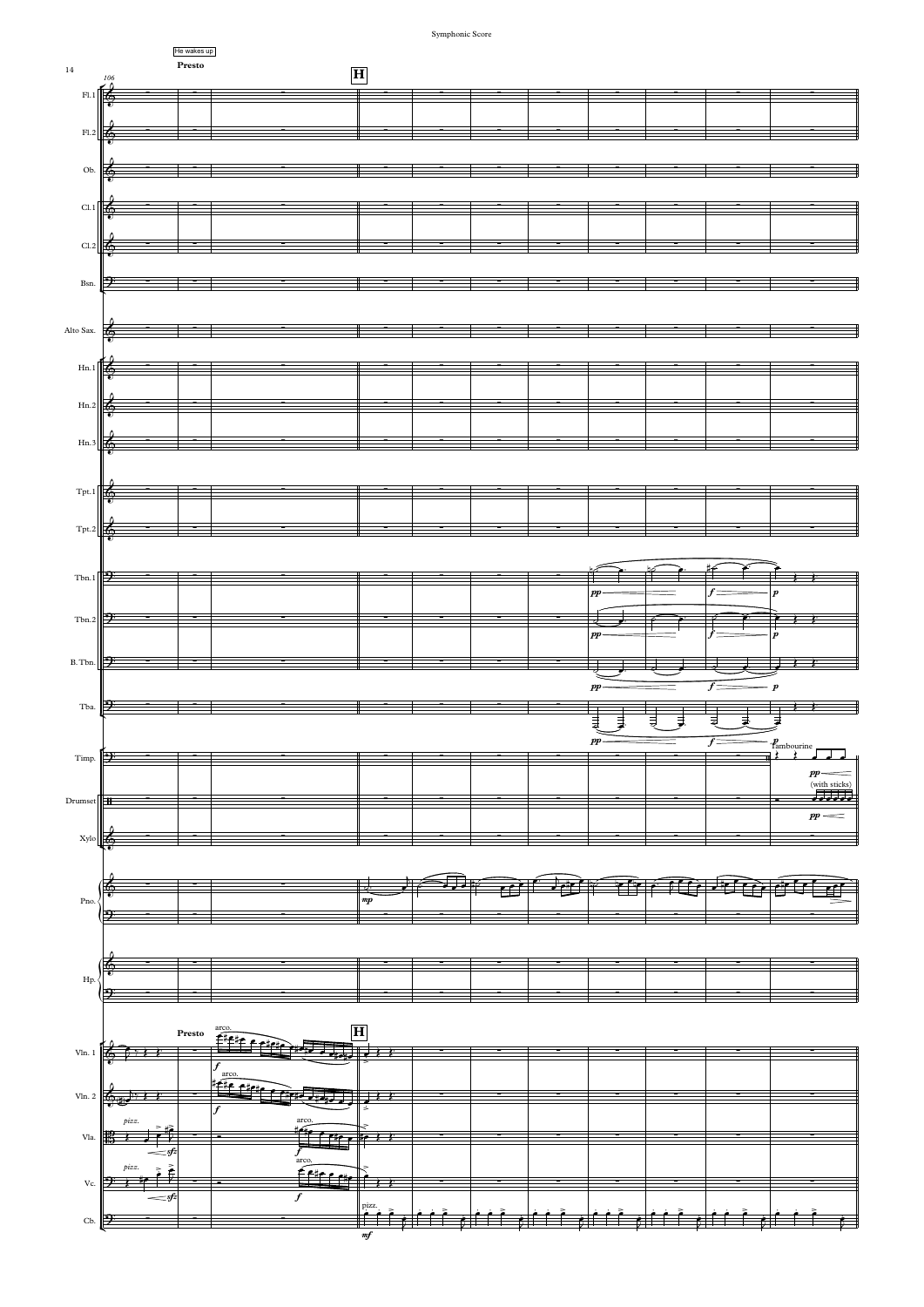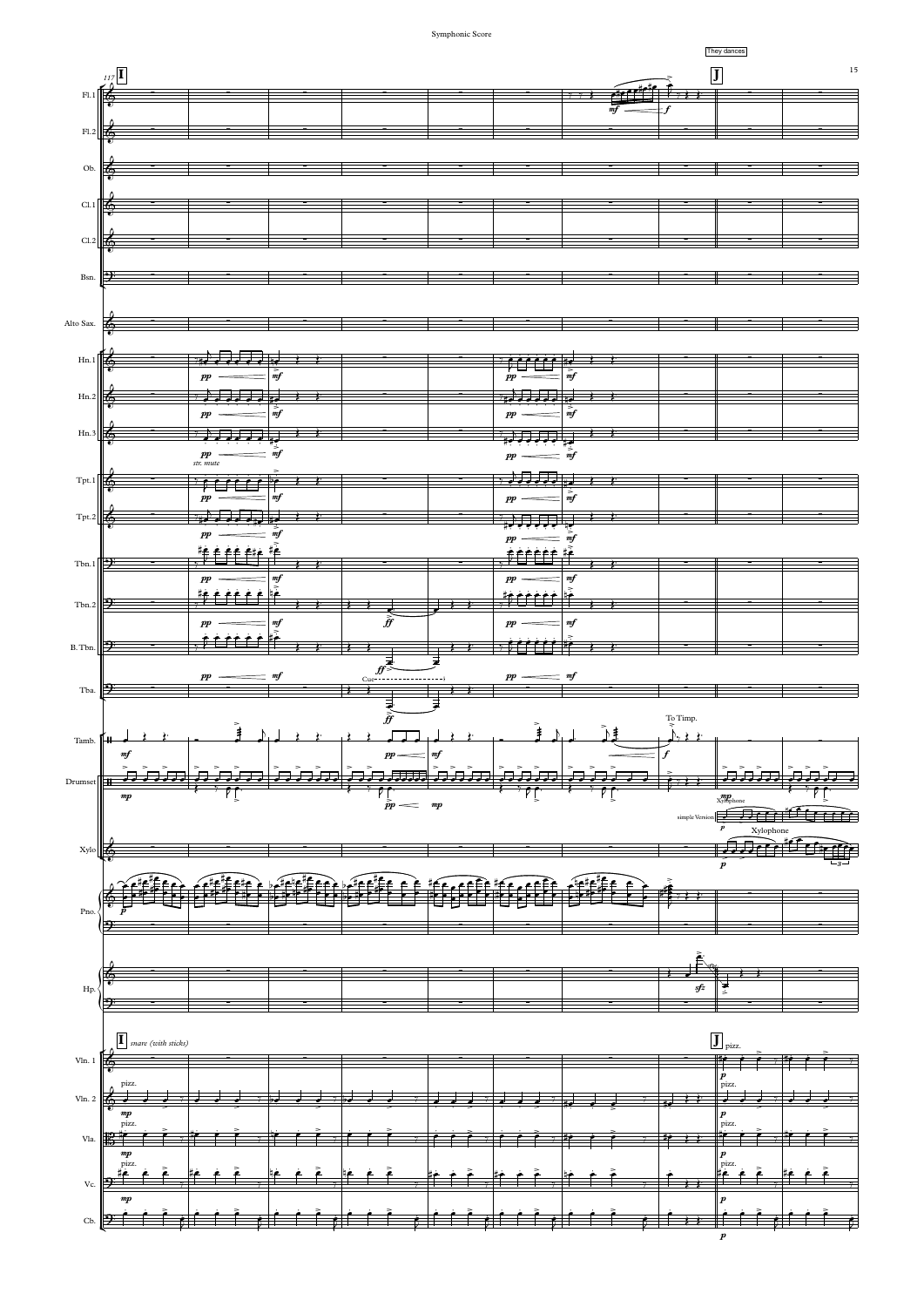

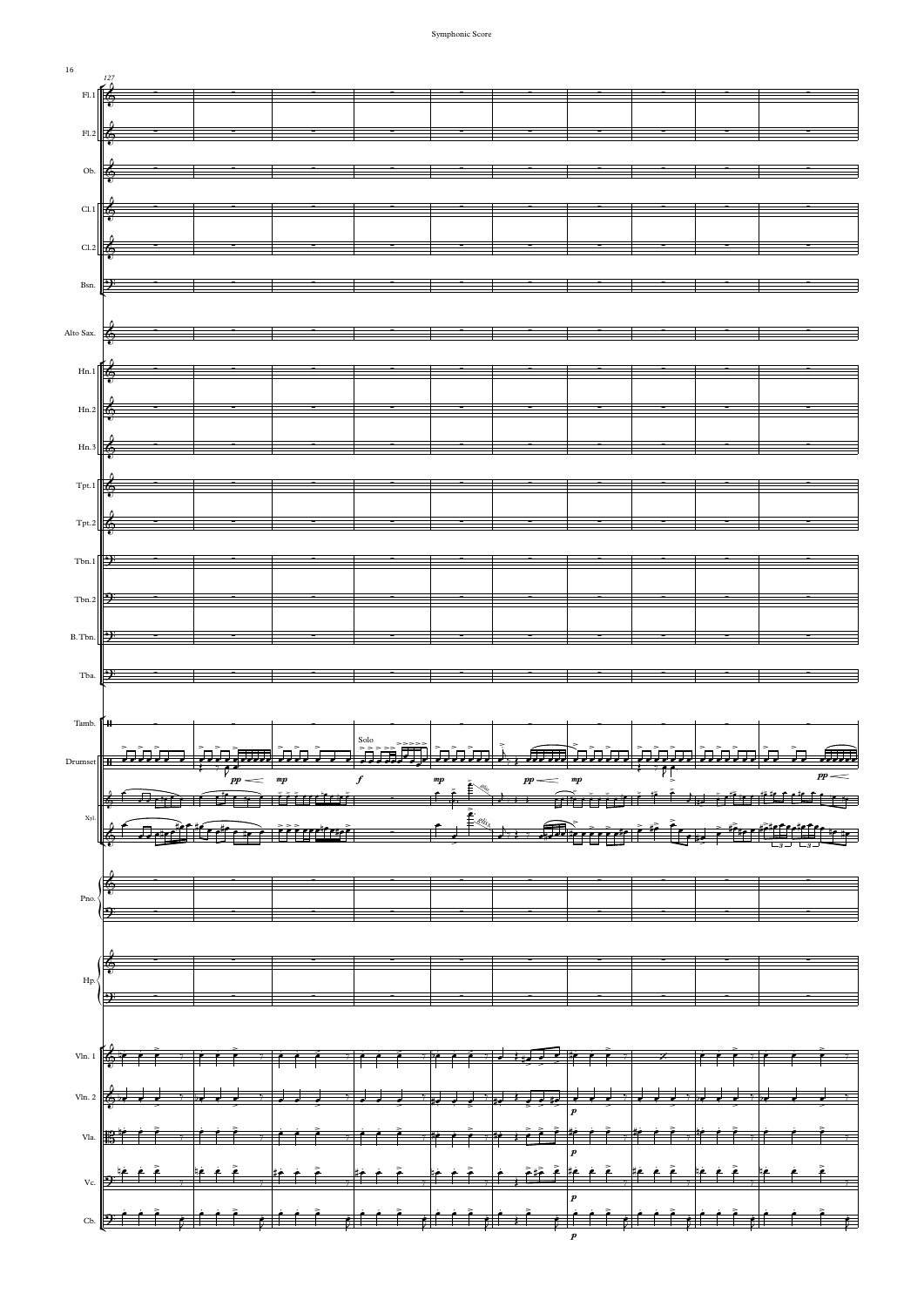

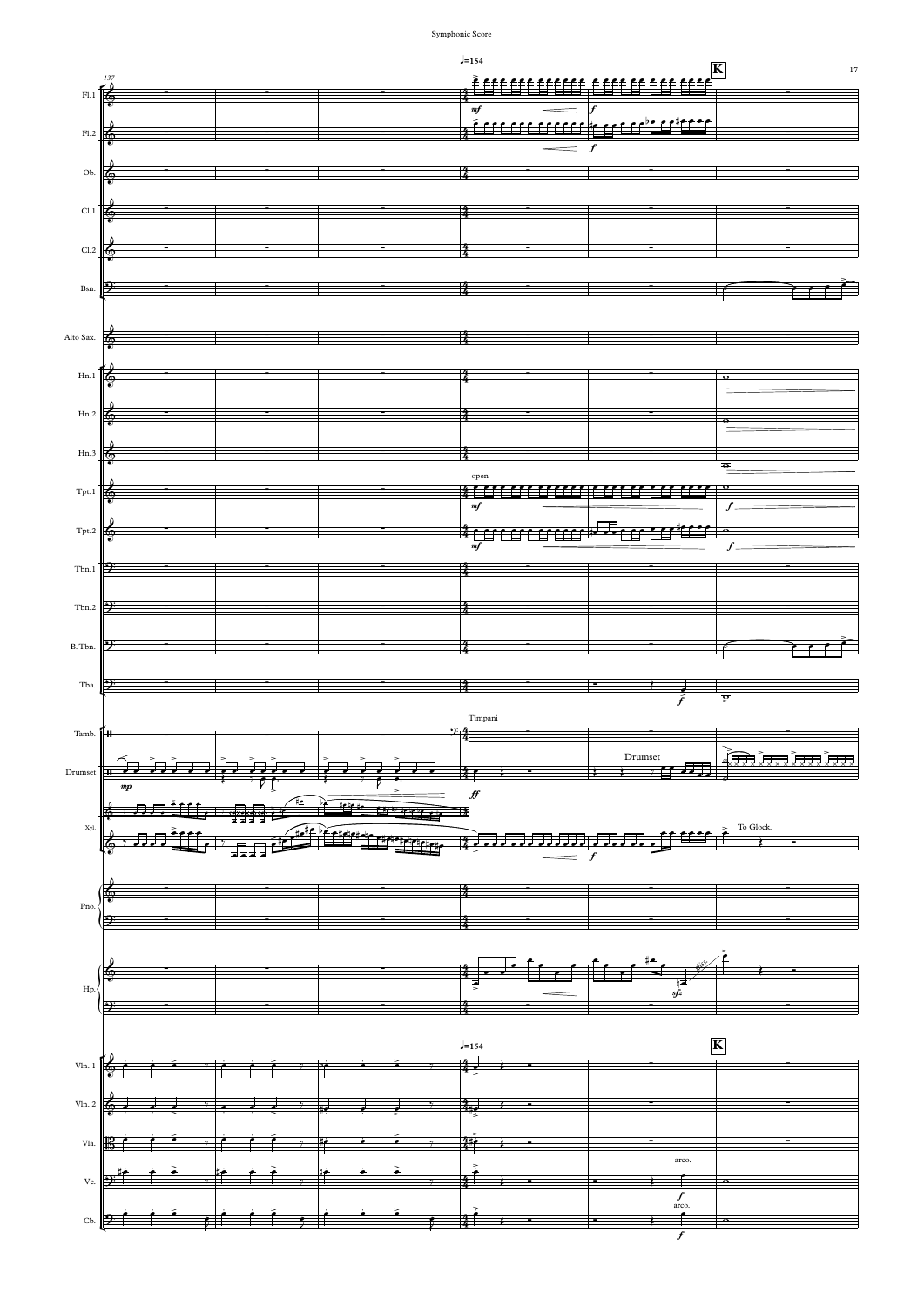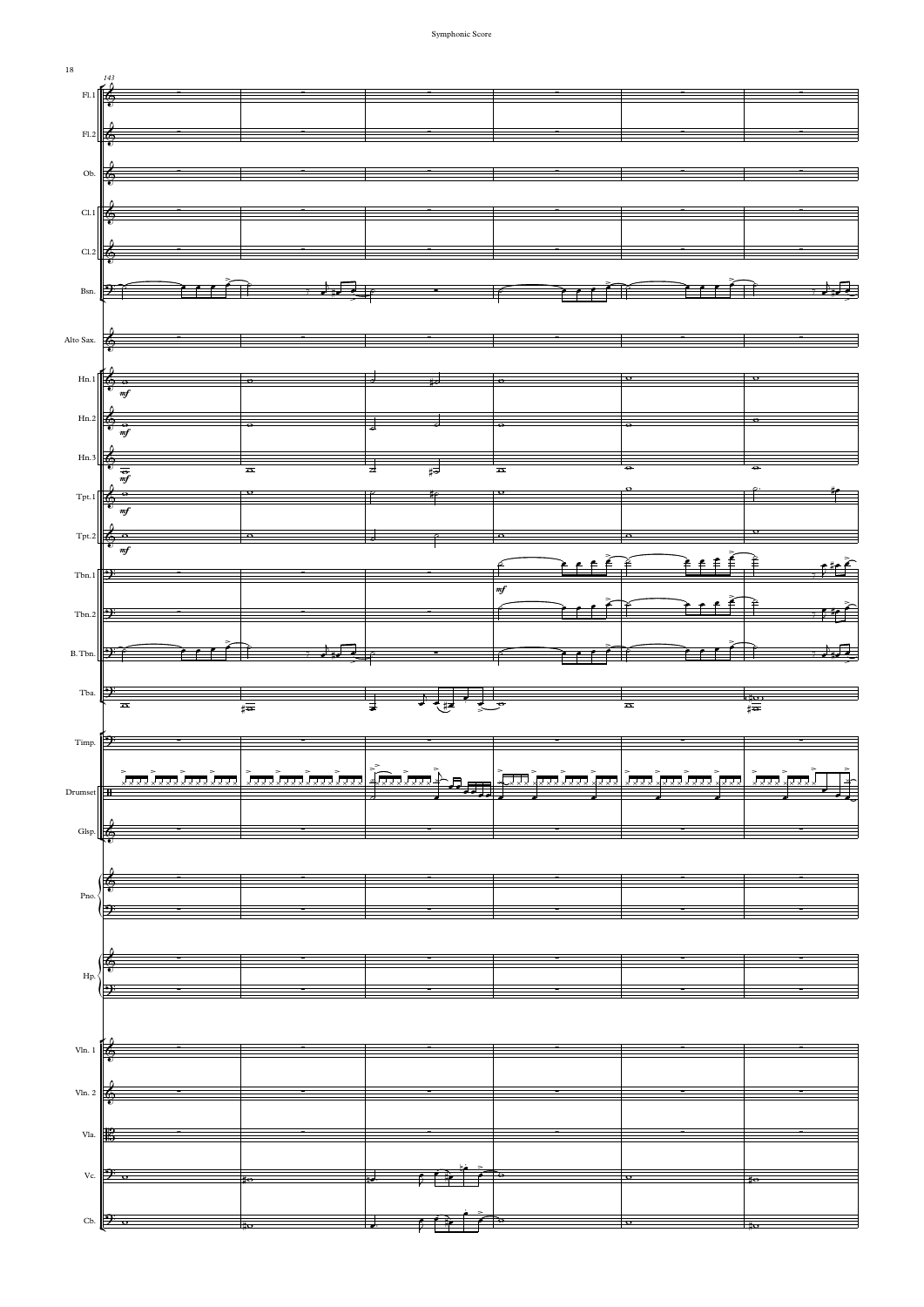

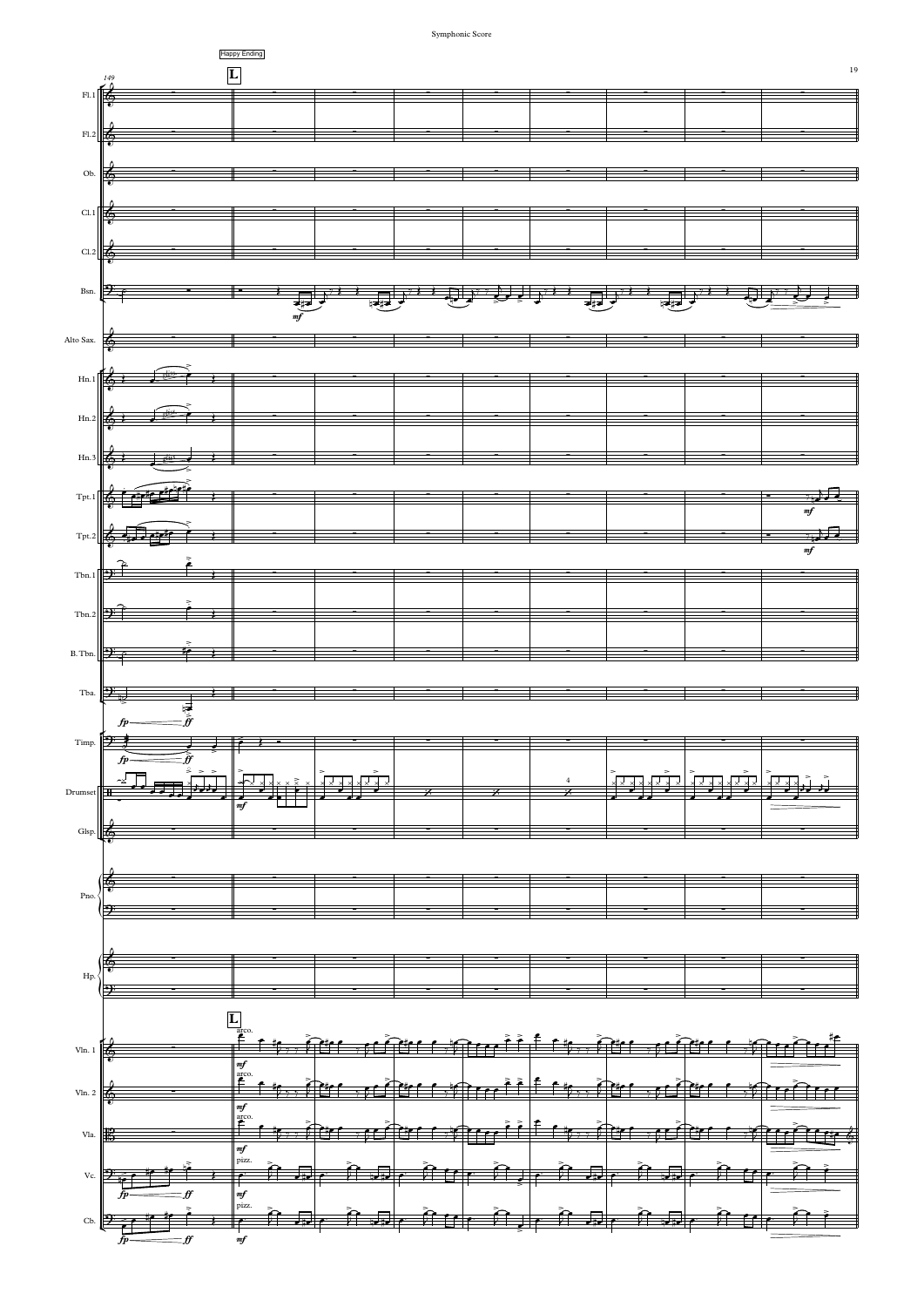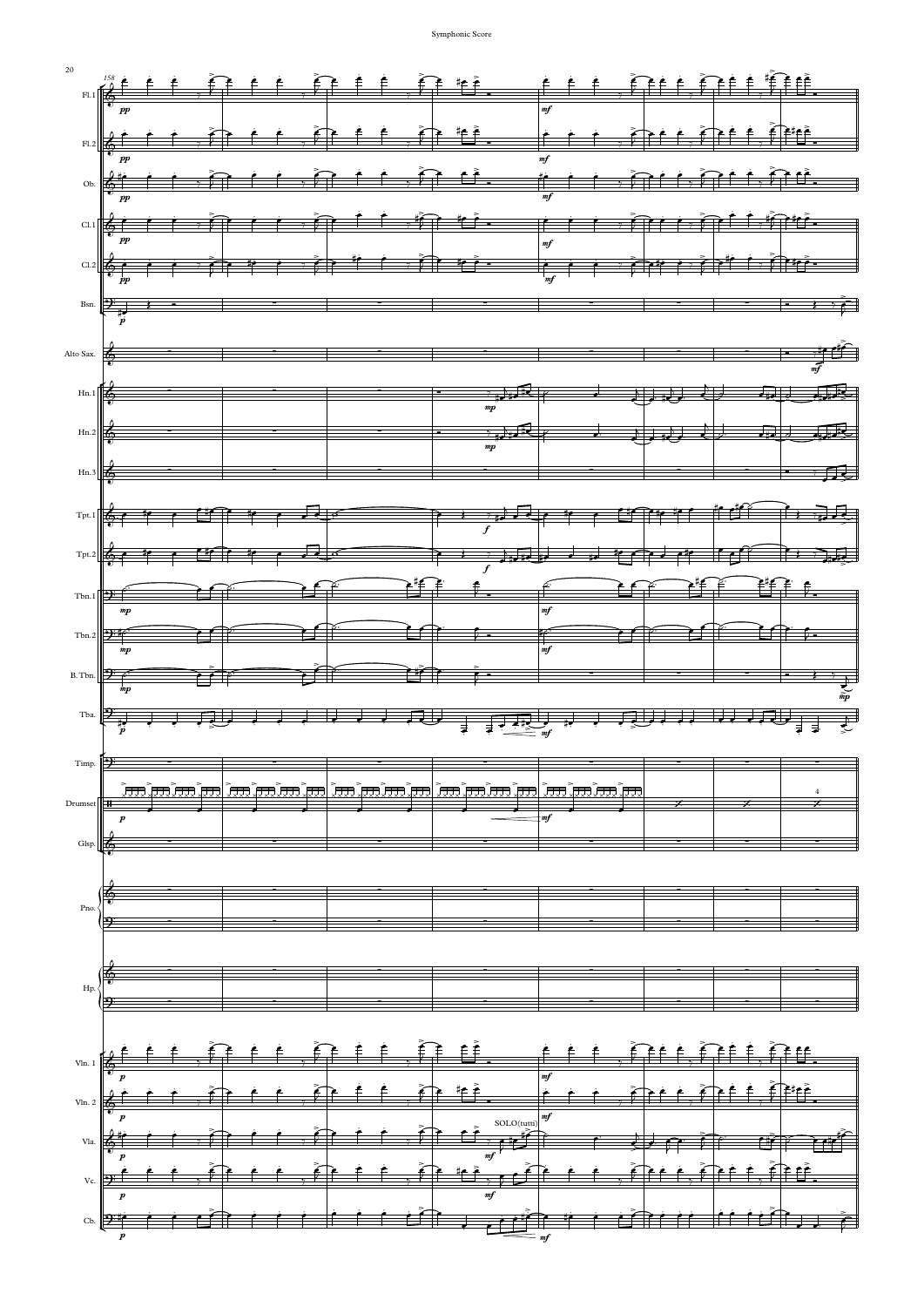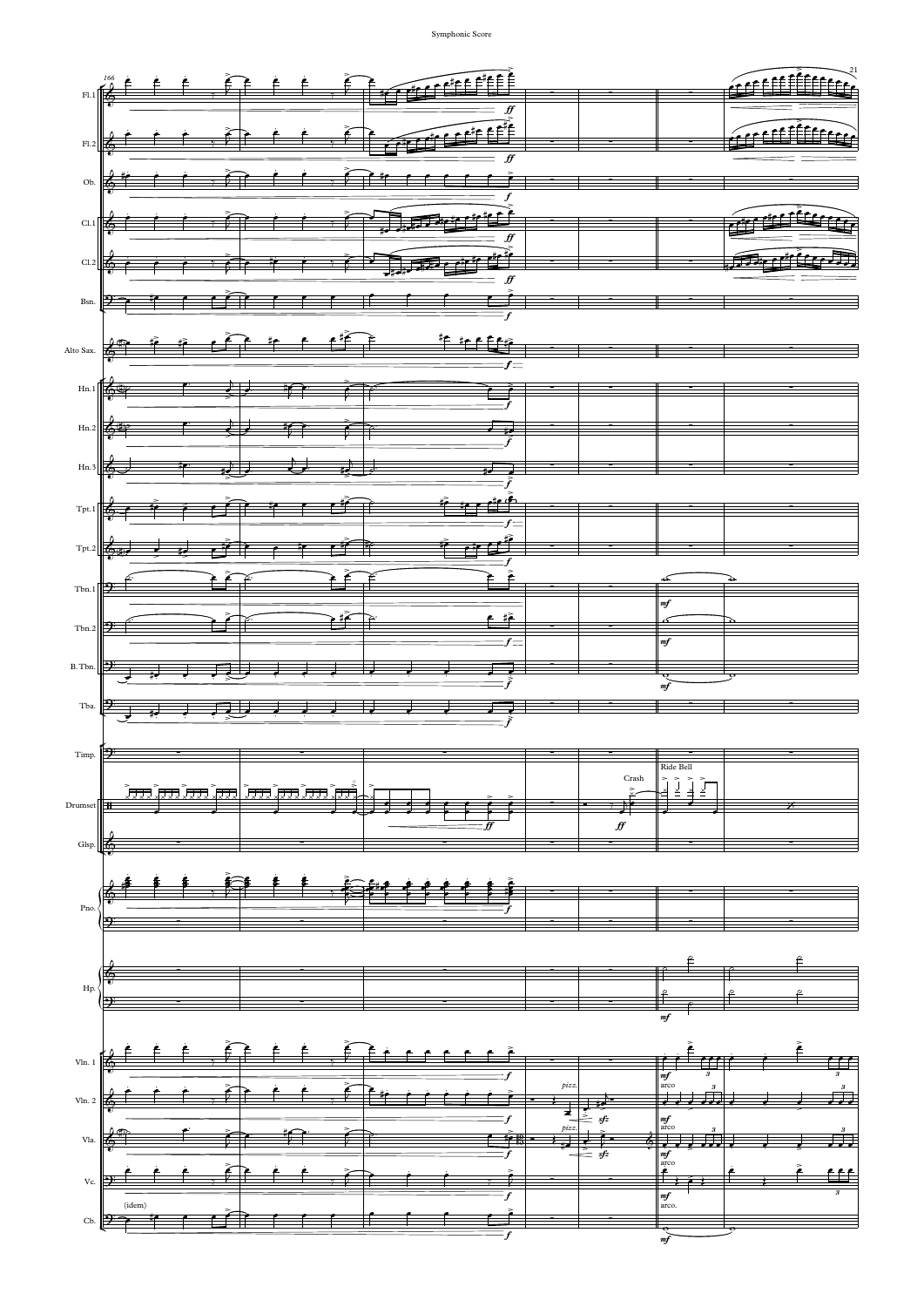